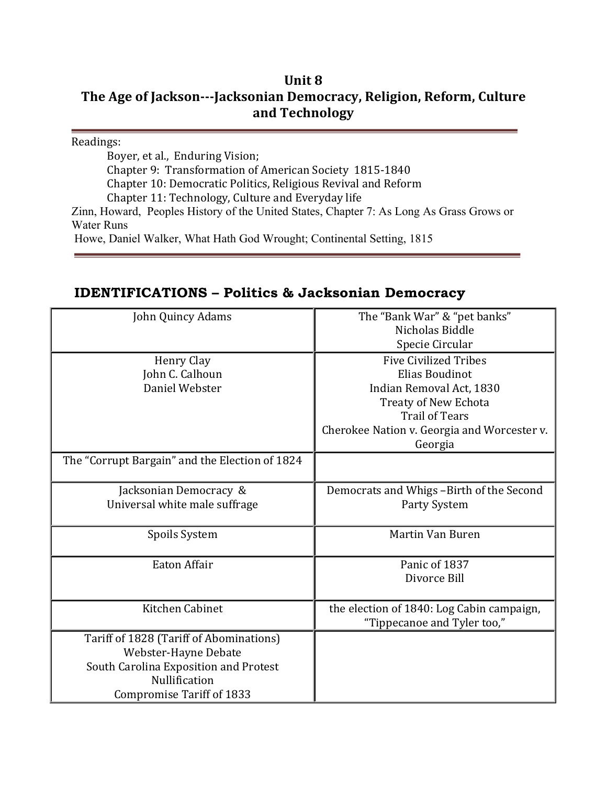## **Unit 8**

## The Age of Jackson---Jacksonian Democracy, Religion, Reform, Culture **and Technology**

Readings:

Boyer, et al., Enduring Vision; Chapter 9: Transformation of American Society 1815-1840 Chapter 10: Democratic Politics, Religious Revival and Reform Chapter 11: Technology, Culture and Everyday life Zinn, Howard, Peoples History of the United States, Chapter 7: As Long As Grass Grows or Water Runs Howe, Daniel Walker, What Hath God Wrought; Continental Setting, 1815

## **IDENTIFICATIONS – Politics & Jacksonian Democracy**

| John Quincy Adams                              | The "Bank War" & "pet banks"                |
|------------------------------------------------|---------------------------------------------|
|                                                | Nicholas Biddle                             |
|                                                | Specie Circular                             |
| Henry Clay                                     | <b>Five Civilized Tribes</b>                |
| John C. Calhoun                                | Elias Boudinot                              |
| Daniel Webster                                 | Indian Removal Act, 1830                    |
|                                                | Treaty of New Echota                        |
|                                                | <b>Trail of Tears</b>                       |
|                                                | Cherokee Nation v. Georgia and Worcester v. |
|                                                | Georgia                                     |
| The "Corrupt Bargain" and the Election of 1824 |                                             |
|                                                |                                             |
| Jacksonian Democracy &                         | Democrats and Whigs -Birth of the Second    |
| Universal white male suffrage                  | Party System                                |
|                                                |                                             |
| Spoils System                                  | Martin Van Buren                            |
|                                                |                                             |
| Eaton Affair                                   | Panic of 1837                               |
|                                                | Divorce Bill                                |
|                                                |                                             |
| Kitchen Cabinet                                | the election of 1840: Log Cabin campaign,   |
|                                                | "Tippecanoe and Tyler too,"                 |
| Tariff of 1828 (Tariff of Abominations)        |                                             |
| Webster-Hayne Debate                           |                                             |
| South Carolina Exposition and Protest          |                                             |
| Nullification                                  |                                             |
| <b>Compromise Tariff of 1833</b>               |                                             |